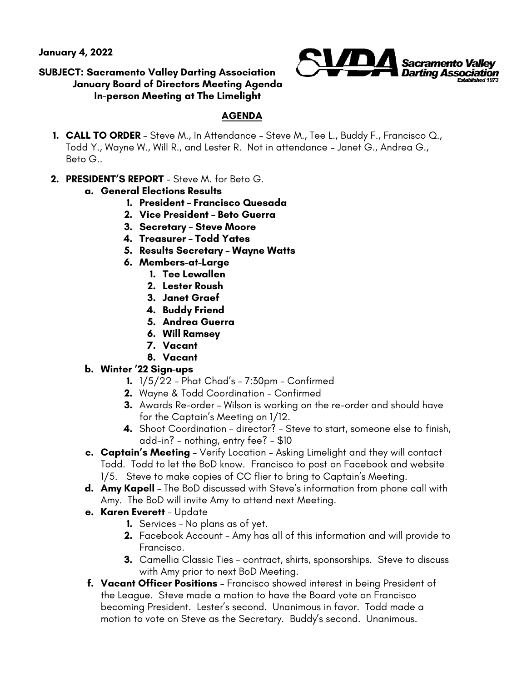**January 4, 2022** 



## **SUBJECT: Sacramento Valley Darting Association January Board of Directors Meeting Agenda In-person Meeting at The Limelight**

## **AGENDA**

- **1. CALL TO ORDER**  Steve M., In Attendance Steve M., Tee L., Buddy F., Francisco Q., Todd Y., Wayne W., Will R., and Lester R. Not in attendance – Janet G., Andrea G., Beto G..
- **2. PRESIDENT'S REPORT**  Steve M. for Beto G.
	- **a. General Elections Results**
		- **1. President – Francisco Quesada**
		- **2. Vice President – Beto Guerra**
		- **3. Secretary – Steve Moore**
		- **4. Treasurer – Todd Yates**
		- **5. Results Secretary – Wayne Watts**
		- **6. Members-at-Large**
			- **1. Tee Lewallen**
			- **2. Lester Roush**
			- **3. Janet Graef**
			- **4. Buddy Friend**
			- **5. Andrea Guerra**
			- **6. Will Ramsey**
			- **7. Vacant**
			- **8. Vacant**

## **b. Winter '22 Sign-ups**

- **1.** 1/5/22 Phat Chad's 7:30pm Confirmed
- **2.** Wayne & Todd Coordination Confirmed
- **3.** Awards Re-order Wilson is working on the re-order and should have for the Captain's Meeting on 1/12.
- **4.** Shoot Coordination director? Steve to start, someone else to finish, add-in? - nothing, entry fee? - \$10
- **c. Captain's Meeting**  Verify Location Asking Limelight and they will contact Todd. Todd to let the BoD know. Francisco to post on Facebook and website 1/5. Steve to make copies of CC flier to bring to Captain's Meeting.
- **d. Amy Kapell –** The BoD discussed with Steve's information from phone call with Amy. The BoD will invite Amy to attend next Meeting.
- **e. Karen Everett**  Update
	- **1.** Services No plans as of yet.
	- **2.** Facebook Account Amy has all of this information and will provide to Francisco.
	- **3.** Camellia Classic Ties contract, shirts, sponsorships. Steve to discuss with Amy prior to next BoD Meeting.
- **f. Vacant Officer Positions**  Francisco showed interest in being President of the League. Steve made a motion to have the Board vote on Francisco becoming President. Lester's second. Unanimous in favor. Todd made a motion to vote on Steve as the Secretary. Buddy's second. Unanimous.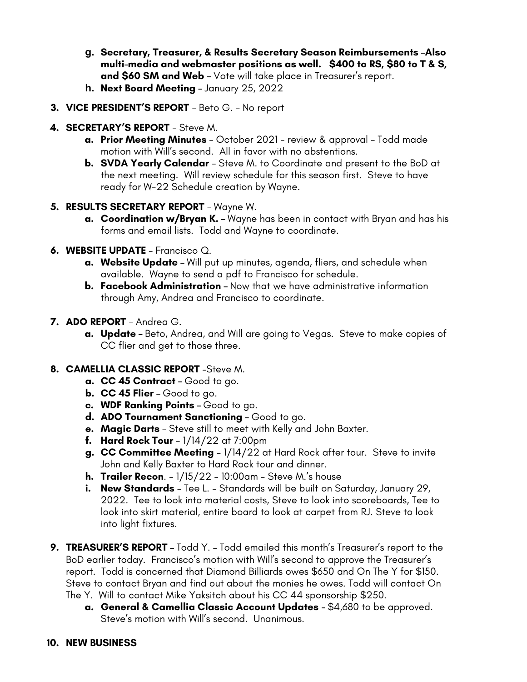- **g. Secretary, Treasurer, & Results Secretary Season Reimbursements –Also multi-media and webmaster positions as well. \$400 to RS, \$80 to T & S, and \$60 SM and Web –** Vote will take place in Treasurer's report.
- **h. Next Board Meeting –** January 25, 2022
- **3. VICE PRESIDENT'S REPORT**  Beto G. No report
- **4. SECRETARY'S REPORT**  Steve M.
	- **a. Prior Meeting Minutes**  October 2021 review & approval Todd made motion with Will's second. All in favor with no abstentions.
	- **b. SVDA Yearly Calendar**  Steve M. to Coordinate and present to the BoD at the next meeting. Will review schedule for this season first. Steve to have ready for W-22 Schedule creation by Wayne.
- **5. RESULTS SECRETARY REPORT**  Wayne W.
	- **a. Coordination w/Bryan K. –** Wayne has been in contact with Bryan and has his forms and email lists. Todd and Wayne to coordinate.
- **6. WEBSITE UPDATE**  Francisco Q.
	- **a. Website Update –** Will put up minutes, agenda, fliers, and schedule when available. Wayne to send a pdf to Francisco for schedule.
	- **b. Facebook Administration –** Now that we have administrative information through Amy, Andrea and Francisco to coordinate.
- **7. ADO REPORT**  Andrea G.
	- **a. Update –** Beto, Andrea, and Will are going to Vegas. Steve to make copies of CC flier and get to those three.
- **8. CAMELLIA CLASSIC REPORT** –Steve M.
	- **a. CC 45 Contract –** Good to go.
	- **b. CC 45 Flier –** Good to go.
	- **c. WDF Ranking Points –** Good to go.
	- **d. ADO Tournament Sanctioning –** Good to go.
	- **e. Magic Darts**  Steve still to meet with Kelly and John Baxter.
	- **f. Hard Rock Tour**  1/14/22 at 7:00pm
	- **g. CC Committee Meeting**  1/14/22 at Hard Rock after tour. Steve to invite John and Kelly Baxter to Hard Rock tour and dinner.
	- **h. Trailer Recon**. 1/15/22 10:00am Steve M.'s house
	- **i. New Standards**  Tee L. Standards will be built on Saturday, January 29, 2022. Tee to look into material costs, Steve to look into scoreboards, Tee to look into skirt material, entire board to look at carpet from RJ. Steve to look into light fixtures.
- **9. TREASURER'S REPORT –** Todd Y. Todd emailed this month's Treasurer's report to the BoD earlier today. Francisco's motion with Will's second to approve the Treasurer's report. Todd is concerned that Diamond Billiards owes \$650 and On The Y for \$150. Steve to contact Bryan and find out about the monies he owes. Todd will contact On The Y. Will to contact Mike Yaksitch about his CC 44 sponsorship \$250.
	- **a. General & Camellia Classic Account Updates** \$4,680 to be approved. Steve's motion with Will's second. Unanimous.
- **10. NEW BUSINESS**